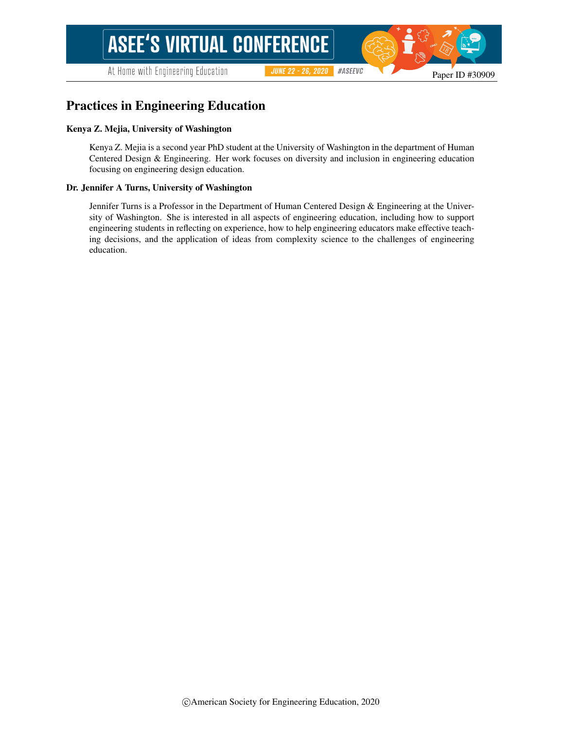At Home with Engineering Education

#ASEEVC **JUNE 22 - 26, 2020** 

# Practices in Engineering Education

#### Kenya Z. Mejia, University of Washington

Kenya Z. Mejia is a second year PhD student at the University of Washington in the department of Human Centered Design & Engineering. Her work focuses on diversity and inclusion in engineering education focusing on engineering design education.

#### Dr. Jennifer A Turns, University of Washington

Jennifer Turns is a Professor in the Department of Human Centered Design & Engineering at the University of Washington. She is interested in all aspects of engineering education, including how to support engineering students in reflecting on experience, how to help engineering educators make effective teaching decisions, and the application of ideas from complexity science to the challenges of engineering education.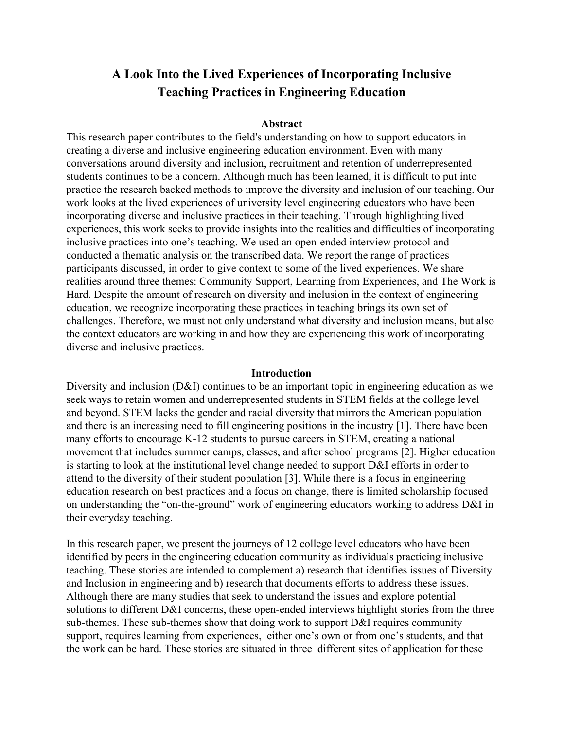# **A Look Into the Lived Experiences of Incorporating Inclusive Teaching Practices in Engineering Education**

#### **Abstract**

This research paper contributes to the field's understanding on how to support educators in creating a diverse and inclusive engineering education environment. Even with many conversations around diversity and inclusion, recruitment and retention of underrepresented students continues to be a concern. Although much has been learned, it is difficult to put into practice the research backed methods to improve the diversity and inclusion of our teaching. Our work looks at the lived experiences of university level engineering educators who have been incorporating diverse and inclusive practices in their teaching. Through highlighting lived experiences, this work seeks to provide insights into the realities and difficulties of incorporating inclusive practices into one's teaching. We used an open-ended interview protocol and conducted a thematic analysis on the transcribed data. We report the range of practices participants discussed, in order to give context to some of the lived experiences. We share realities around three themes: Community Support, Learning from Experiences, and The Work is Hard. Despite the amount of research on diversity and inclusion in the context of engineering education, we recognize incorporating these practices in teaching brings its own set of challenges. Therefore, we must not only understand what diversity and inclusion means, but also the context educators are working in and how they are experiencing this work of incorporating diverse and inclusive practices.

## **Introduction**

Diversity and inclusion (D&I) continues to be an important topic in engineering education as we seek ways to retain women and underrepresented students in STEM fields at the college level and beyond. STEM lacks the gender and racial diversity that mirrors the American population and there is an increasing need to fill engineering positions in the industry [\[1\]](https://www.zotero.org/google-docs/?yjin6g). There have been many efforts to encourage K-12 students to pursue careers in STEM, creating a national movement that includes summer camps, classes, and after school programs [\[2\]](https://www.zotero.org/google-docs/?o2wFA0). Higher education is starting to look at the institutional level change needed to support D&I efforts in order to attend to the diversity of their student population [\[3\]](https://www.zotero.org/google-docs/?YSpQsE). While there is a focus in engineering education research on best practices and a focus on change, there is limited scholarship focused on understanding the "on-the-ground" work of engineering educators working to address D&I in their everyday teaching.

In this research paper, we present the journeys of 12 college level educators who have been identified by peers in the engineering education community as individuals practicing inclusive teaching. These stories are intended to complement a) research that identifies issues of Diversity and Inclusion in engineering and b) research that documents efforts to address these issues. Although there are many studies that seek to understand the issues and explore potential solutions to different D&I concerns, these open-ended interviews highlight stories from the three sub-themes. These sub-themes show that doing work to support D&I requires community support, requires learning from experiences, either one's own or from one's students, and that the work can be hard. These stories are situated in three different sites of application for these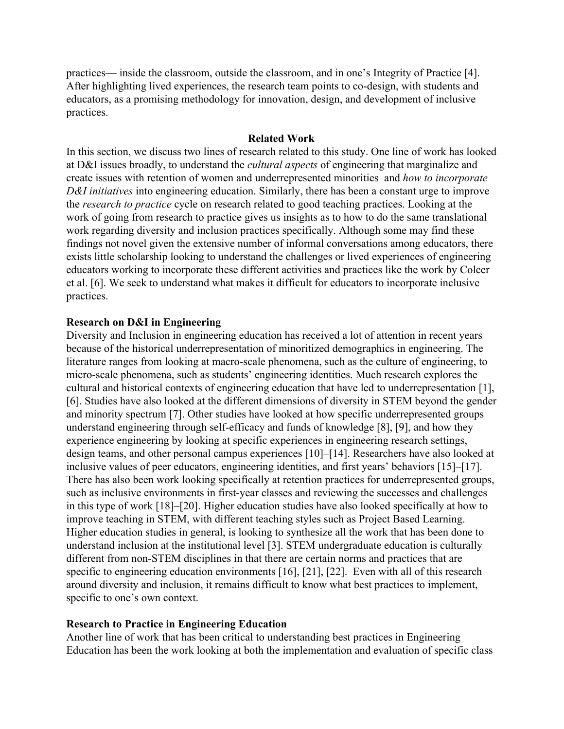practices— inside the classroom, outside the classroom, and in one's Integrity of Practice [\[4\]](https://www.zotero.org/google-docs/?p5lQFQ). After highlighting lived experiences, the research team points to co-design, with students and educators, as a promising methodology for innovation, design, and development of inclusive practices.

#### **Related Work**

In this section, we discuss two lines of research related to this study. One line of work has looked at D&I issues broadly, to understand the *cultural aspects* of engineering that marginalize and create issues with retention of women and underrepresented minorities and *how to incorporate D&I initiatives* into engineering education. Similarly, there has been a constant urge to improve the *research to practice* cycle on research related to good teaching practices. Looking at the work of going from research to practice gives us insights as to how to do the same translational work regarding diversity and inclusion practices specifically. Although some may find these findings not novel given the extensive number of informal conversations among educators, there exists little scholarship looking to understand the challenges or lived experiences of engineering educators working to incorporate these different activities and practices like the work by Colcer et al. [\[6\]](https://www.zotero.org/google-docs/?i04jlt). We seek to understand what makes it difficult for educators to incorporate inclusive practices.

## **Research on D&I in Engineering**

Diversity and Inclusion in engineering education has received a lot of attention in recent years because of the historical underrepresentation of minoritized demographics in engineering. The literature ranges from looking at macro-scale phenomena, such as the culture of engineering, to micro-scale phenomena, such as students' engineering identities. Much research explores the cultural and historical contexts of engineering education that have led to underrepresentation [\[1\],](https://www.zotero.org/google-docs/?fpXhso) [\[6\].](https://www.zotero.org/google-docs/?fpXhso) Studies have also looked at the different dimensions of diversity in STEM beyond the gender and minority spectrum [\[7\].](https://www.zotero.org/google-docs/?Zq33ww) Other studies have looked at how specific underrepresented groups understand engineering through self-efficacy and funds of knowledge [\[8\], \[9\]](https://www.zotero.org/google-docs/?ui9ioO), and how they experience engineering by looking at specific experiences in engineering research settings, design teams, and other personal campus experiences [\[10\]–\[14\]](https://www.zotero.org/google-docs/?7iA8g8). Researchers have also looked at inclusive values of peer educators, engineering identities, and first years' behaviors [\[15\]–\[17\]](https://www.zotero.org/google-docs/?UyfdVQ). There has also been work looking specifically at retention practices for underrepresented groups, such as inclusive environments in first-year classes and reviewing the successes and challenges in this type of work [\[18\]–\[20\].](https://www.zotero.org/google-docs/?ymWo87) Higher education studies have also looked specifically at how to improve teaching in STEM, with different teaching styles such as Project Based Learning. Higher education studies in general, is looking to synthesize all the work that has been done to understand inclusion at the institutional level [\[3\]](https://www.zotero.org/google-docs/?1jR408). STEM undergraduate education is culturally different from non-STEM disciplines in that there are certain norms and practices that are specific to engineering education environments [\[16\], \[21\], \[22\]](https://www.zotero.org/google-docs/?Ln16CZ). Even with all of this research around diversity and inclusion, it remains difficult to know what best practices to implement, specific to one's own context.

## **Research to Practice in Engineering Education**

Another line of work that has been critical to understanding best practices in Engineering Education has been the work looking at both the implementation and evaluation of specific class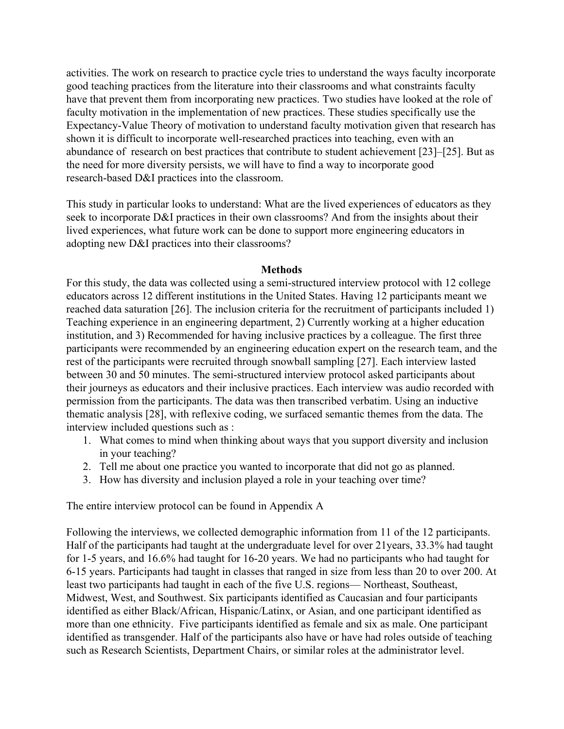activities. The work on research to practice cycle tries to understand the ways faculty incorporate good teaching practices from the literature into their classrooms and what constraints faculty have that prevent them from incorporating new practices. Two studies have looked at the role of faculty motivation in the implementation of new practices. These studies specifically use the Expectancy-Value Theory of motivation to understand faculty motivation given that research has shown it is difficult to incorporate well-researched practices into teaching, even with an abundance of research on best practices that contribute to student achievement [\[23\]–\[25\]](https://www.zotero.org/google-docs/?5Tf2rN). But as the need for more diversity persists, we will have to find a way to incorporate good research-based D&I practices into the classroom.

This study in particular looks to understand: What are the lived experiences of educators as they seek to incorporate D&I practices in their own classrooms? And from the insights about their lived experiences, what future work can be done to support more engineering educators in adopting new D&I practices into their classrooms?

## **Methods**

For this study, the data was collected using a semi-structured interview protocol with 12 college educators across 12 different institutions in the United States. Having 12 participants meant we reached data saturation [\[26\].](https://www.zotero.org/google-docs/?wVtjbn) The inclusion criteria for the recruitment of participants included 1) Teaching experience in an engineering department, 2) Currently working at a higher education institution, and 3) Recommended for having inclusive practices by a colleague. The first three participants were recommended by an engineering education expert on the research team, and the rest of the participants were recruited through snowball sampling [\[27\]](https://www.zotero.org/google-docs/?NqN1TA). Each interview lasted between 30 and 50 minutes. The semi-structured interview protocol asked participants about their journeys as educators and their inclusive practices. Each interview was audio recorded with permission from the participants. The data was then transcribed verbatim. Using an inductive thematic analysis [\[28\],](https://www.zotero.org/google-docs/?62AkPR) with reflexive coding, we surfaced semantic themes from the data. The interview included questions such as :

- 1. What comes to mind when thinking about ways that you support diversity and inclusion in your teaching?
- 2. Tell me about one practice you wanted to incorporate that did not go as planned.
- 3. How has diversity and inclusion played a role in your teaching over time?

The entire interview protocol can be found in Appendix A

Following the interviews, we collected demographic information from 11 of the 12 participants. Half of the participants had taught at the undergraduate level for over 21years, 33.3% had taught for 1-5 years, and 16.6% had taught for 16-20 years. We had no participants who had taught for 6-15 years. Participants had taught in classes that ranged in size from less than 20 to over 200. At least two participants had taught in each of the five U.S. regions— Northeast, Southeast, Midwest, West, and Southwest. Six participants identified as Caucasian and four participants identified as either Black/African, Hispanic/Latinx, or Asian, and one participant identified as more than one ethnicity. Five participants identified as female and six as male. One participant identified as transgender. Half of the participants also have or have had roles outside of teaching such as Research Scientists, Department Chairs, or similar roles at the administrator level.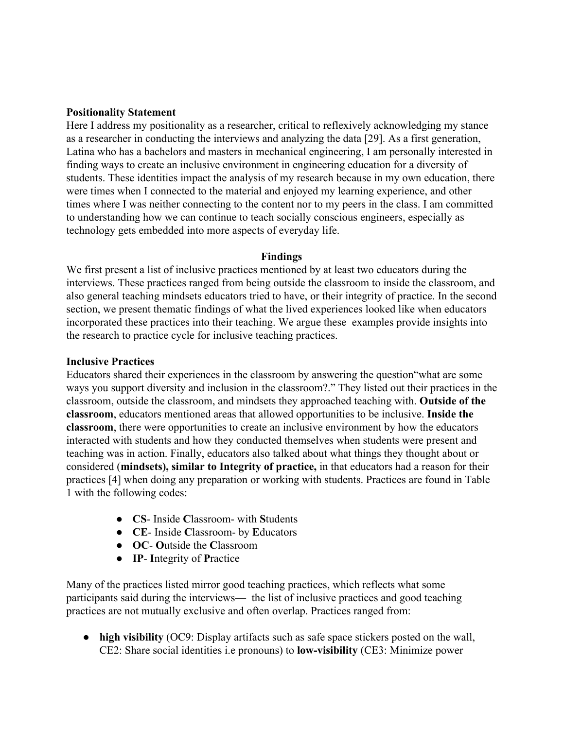## **Positionality Statement**

Here I address my positionality as a researcher, critical to reflexively acknowledging my stance as a researcher in conducting the interviews and analyzing the data [\[29\].](https://www.zotero.org/google-docs/?9xmfSF) As a first generation, Latina who has a bachelors and masters in mechanical engineering, I am personally interested in finding ways to create an inclusive environment in engineering education for a diversity of students. These identities impact the analysis of my research because in my own education, there were times when I connected to the material and enjoyed my learning experience, and other times where I was neither connecting to the content nor to my peers in the class. I am committed to understanding how we can continue to teach socially conscious engineers, especially as technology gets embedded into more aspects of everyday life.

## **Findings**

We first present a list of inclusive practices mentioned by at least two educators during the interviews. These practices ranged from being outside the classroom to inside the classroom, and also general teaching mindsets educators tried to have, or their integrity of practice. In the second section, we present thematic findings of what the lived experiences looked like when educators incorporated these practices into their teaching. We argue these examples provide insights into the research to practice cycle for inclusive teaching practices.

## **Inclusive Practices**

Educators shared their experiences in the classroom by answering the question"what are some ways you support diversity and inclusion in the classroom?." They listed out their practices in the classroom, outside the classroom, and mindsets they approached teaching with. **Outside of the classroom**, educators mentioned areas that allowed opportunities to be inclusive. **Inside the classroom**, there were opportunities to create an inclusive environment by how the educators interacted with students and how they conducted themselves when students were present and teaching was in action. Finally, educators also talked about what things they thought about or considered (**mindsets), similar to Integrity of practice,** in that educators had a reason for their practices [\[4\]](https://www.zotero.org/google-docs/?RBnZem) when doing any preparation or working with students. Practices are found in Table 1 with the following codes:

- **CS** Inside **C**lassroom- with **S**tudents
- **CE** Inside **C**lassroom- by **E**ducators
- **OC O**utside the **C**lassroom
- **IP**- **I**ntegrity of **P**ractice

Many of the practices listed mirror good teaching practices, which reflects what some participants said during the interviews— the list of inclusive practices and good teaching practices are not mutually exclusive and often overlap. Practices ranged from:

● **high visibility** (OC9: Display artifacts such as safe space stickers posted on the wall, CE2: Share social identities i.e pronouns) to **low-visibility** (CE3: Minimize power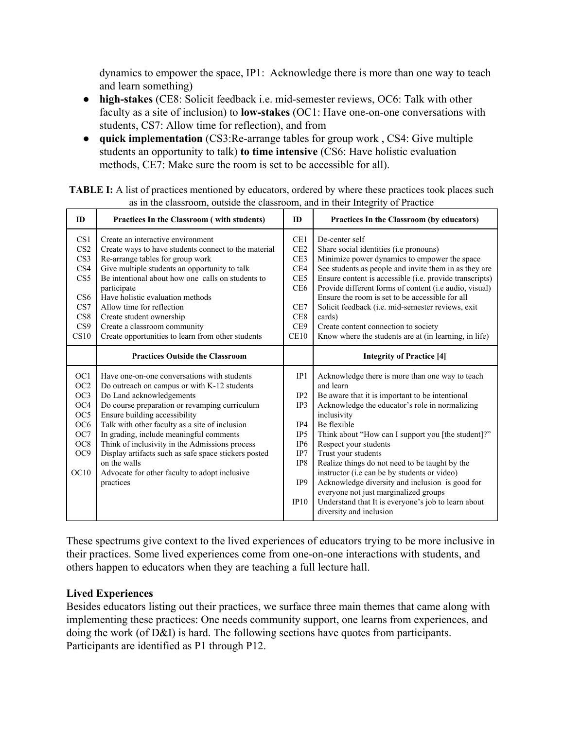dynamics to empower the space, IP1: Acknowledge there is more than one way to teach and learn something)

- **high-stakes** (CE8: Solicit feedback i.e. mid-semester reviews, OC6: Talk with other faculty as a site of inclusion) to **low-stakes** (OC1: Have one-on-one conversations with students, CS7: Allow time for reflection), and from
- **quick implementation** (CS3:Re-arrange tables for group work , CS4: Give multiple students an opportunity to talk) **to time intensive** (CS6: Have holistic evaluation methods, CE7: Make sure the room is set to be accessible for all).

| ID                                                                                                                                          | Practices In the Classroom (with students)                                                                                                                                                                                                                                                                                                                                                                                                                                                    | ID                                                                                          | Practices In the Classroom (by educators)                                                                                                                                                                                                                                                                                                                                                                                                                                                                                                                                             |
|---------------------------------------------------------------------------------------------------------------------------------------------|-----------------------------------------------------------------------------------------------------------------------------------------------------------------------------------------------------------------------------------------------------------------------------------------------------------------------------------------------------------------------------------------------------------------------------------------------------------------------------------------------|---------------------------------------------------------------------------------------------|---------------------------------------------------------------------------------------------------------------------------------------------------------------------------------------------------------------------------------------------------------------------------------------------------------------------------------------------------------------------------------------------------------------------------------------------------------------------------------------------------------------------------------------------------------------------------------------|
| CS1<br>CS <sub>2</sub><br>CS <sub>3</sub><br>CS4<br>CS5<br>CS <sub>6</sub><br>CS7<br>CS8<br>CS9                                             | Create an interactive environment<br>Create ways to have students connect to the material<br>Re-arrange tables for group work<br>Give multiple students an opportunity to talk<br>Be intentional about how one calls on students to<br>participate<br>Have holistic evaluation methods<br>Allow time for reflection<br>Create student ownership<br>Create a classroom community                                                                                                               | CE1<br>CE <sub>2</sub><br>CE3<br>CE4<br>CE5<br>CE <sub>6</sub><br>CE7<br>CE8<br>CE9         | De-center self<br>Share social identities ( <i>i.e pronouns</i> )<br>Minimize power dynamics to empower the space<br>See students as people and invite them in as they are<br>Ensure content is accessible (i.e. provide transcripts)<br>Provide different forms of content (i.e audio, visual)<br>Ensure the room is set to be accessible for all<br>Solicit feedback (i.e. mid-semester reviews, exit<br>cards)<br>Create content connection to society                                                                                                                             |
| CS10                                                                                                                                        | Create opportunities to learn from other students                                                                                                                                                                                                                                                                                                                                                                                                                                             | CE10                                                                                        | Know where the students are at (in learning, in life)                                                                                                                                                                                                                                                                                                                                                                                                                                                                                                                                 |
|                                                                                                                                             | <b>Practices Outside the Classroom</b>                                                                                                                                                                                                                                                                                                                                                                                                                                                        |                                                                                             | <b>Integrity of Practice [4]</b>                                                                                                                                                                                                                                                                                                                                                                                                                                                                                                                                                      |
| OC <sub>1</sub><br>OC <sub>2</sub><br>OC3<br>OC <sub>4</sub><br>OC <sub>5</sub><br>OC <sub>6</sub><br>OC7<br>OC <sub>8</sub><br>OC9<br>OC10 | Have one-on-one conversations with students<br>Do outreach on campus or with K-12 students<br>Do Land acknowledgements<br>Do course preparation or revamping curriculum<br>Ensure building accessibility<br>Talk with other faculty as a site of inclusion<br>In grading, include meaningful comments<br>Think of inclusivity in the Admissions process<br>Display artifacts such as safe space stickers posted<br>on the walls<br>Advocate for other faculty to adopt inclusive<br>practices | IP1<br>IP2<br>IP3<br>IP4<br>IP <sub>5</sub><br>IP <sub>6</sub><br>IP7<br>IP8<br>IP9<br>IP10 | Acknowledge there is more than one way to teach<br>and learn<br>Be aware that it is important to be intentional<br>Acknowledge the educator's role in normalizing<br>inclusivity<br>Be flexible<br>Think about "How can I support you [the student]?"<br>Respect your students<br>Trust your students<br>Realize things do not need to be taught by the<br>instructor (i.e can be by students or video)<br>Acknowledge diversity and inclusion is good for<br>everyone not just marginalized groups<br>Understand that It is everyone's job to learn about<br>diversity and inclusion |

**TABLE I:** A list of practices mentioned by educators, ordered by where these practices took places such as in the classroom, outside the classroom, and in their Integrity of Practice

These spectrums give context to the lived experiences of educators trying to be more inclusive in their practices. Some lived experiences come from one-on-one interactions with students, and others happen to educators when they are teaching a full lecture hall.

## **Lived Experiences**

Besides educators listing out their practices, we surface three main themes that came along with implementing these practices: One needs community support, one learns from experiences, and doing the work (of D&I) is hard. The following sections have quotes from participants. Participants are identified as P1 through P12.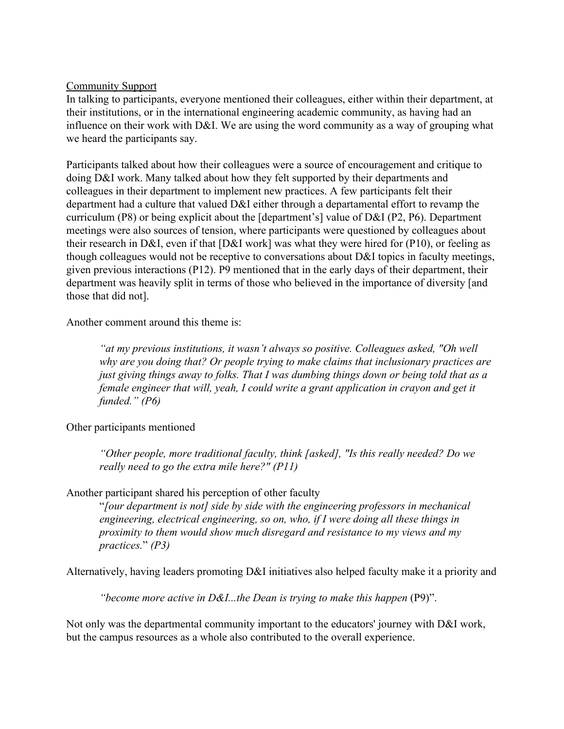## Community Support

In talking to participants, everyone mentioned their colleagues, either within their department, at their institutions, or in the international engineering academic community, as having had an influence on their work with D&I. We are using the word community as a way of grouping what we heard the participants say.

Participants talked about how their colleagues were a source of encouragement and critique to doing D&I work. Many talked about how they felt supported by their departments and colleagues in their department to implement new practices. A few participants felt their department had a culture that valued D&I either through a departamental effort to revamp the curriculum (P8) or being explicit about the [department's] value of D&I (P2, P6). Department meetings were also sources of tension, where participants were questioned by colleagues about their research in D&I, even if that [D&I work] was what they were hired for (P10), or feeling as though colleagues would not be receptive to conversations about D&I topics in faculty meetings, given previous interactions (P12). P9 mentioned that in the early days of their department, their department was heavily split in terms of those who believed in the importance of diversity [and those that did not].

Another comment around this theme is:

*"at my previous institutions, it wasn't always so positive. Colleagues asked, "Oh well why are you doing that? Or people trying to make claims that inclusionary practices are just giving things away to folks. That I was dumbing things down or being told that as a female engineer that will, yeah, I could write a grant application in crayon and get it funded." (P6)*

Other participants mentioned

*"Other people, more traditional faculty, think [asked], "Is this really needed? Do we really need to go the extra mile here?" (P11)*

Another participant shared his perception of other faculty

"*[our department is not] side by side with the engineering professors in mechanical engineering, electrical engineering, so on, who, if I were doing all these things in proximity to them would show much disregard and resistance to my views and my practices.*" *(P3)*

Alternatively, having leaders promoting D&I initiatives also helped faculty make it a priority and

*"become more active in D&I...the Dean is trying to make this happen* (P9)".

Not only was the departmental community important to the educators' journey with D&I work, but the campus resources as a whole also contributed to the overall experience.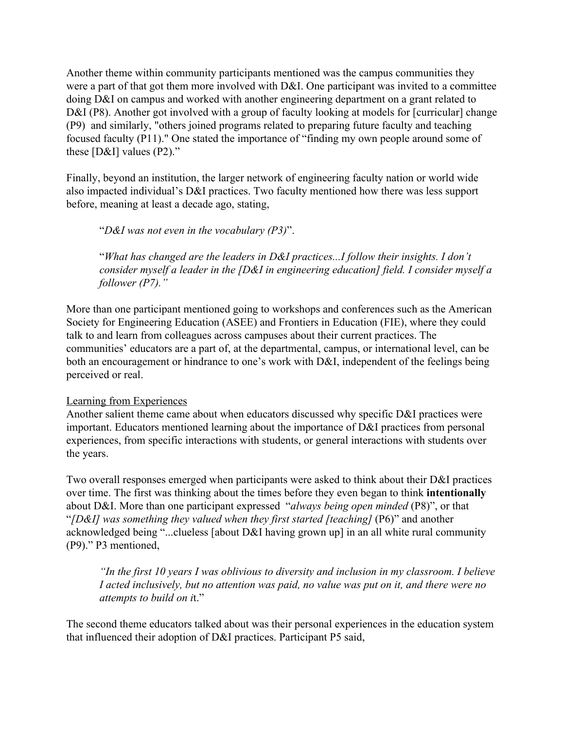Another theme within community participants mentioned was the campus communities they were a part of that got them more involved with D&I. One participant was invited to a committee doing D&I on campus and worked with another engineering department on a grant related to D&I (P8). Another got involved with a group of faculty looking at models for [curricular] change (P9) and similarly, "others joined programs related to preparing future faculty and teaching focused faculty (P11)." One stated the importance of "finding my own people around some of these [D&I] values (P2)."

Finally, beyond an institution, the larger network of engineering faculty nation or world wide also impacted individual's D&I practices. Two faculty mentioned how there was less support before, meaning at least a decade ago, stating,

"*D&I was not even in the vocabulary (P3)*".

"*What has changed are the leaders in D&I practices...I follow their insights. I don't consider myself a leader in the [D&I in engineering education] field. I consider myself a follower (P7)."*

More than one participant mentioned going to workshops and conferences such as the American Society for Engineering Education (ASEE) and Frontiers in Education (FIE), where they could talk to and learn from colleagues across campuses about their current practices. The communities' educators are a part of, at the departmental, campus, or international level, can be both an encouragement or hindrance to one's work with D&I, independent of the feelings being perceived or real.

## Learning from Experiences

Another salient theme came about when educators discussed why specific D&I practices were important. Educators mentioned learning about the importance of D&I practices from personal experiences, from specific interactions with students, or general interactions with students over the years.

Two overall responses emerged when participants were asked to think about their D&I practices over time. The first was thinking about the times before they even began to think **intentionally** about D&I. More than one participant expressed "*always being open minded* (P8)", or that "*[D&I] was something they valued when they first started [teaching]* (P6)" and another acknowledged being "...clueless [about D&I having grown up] in an all white rural community (P9)." P3 mentioned,

*"In the first 10 years I was oblivious to diversity and inclusion in my classroom. I believe I acted inclusively, but no attention was paid, no value was put on it, and there were no attempts to build on i*t."

The second theme educators talked about was their personal experiences in the education system that influenced their adoption of D&I practices. Participant P5 said,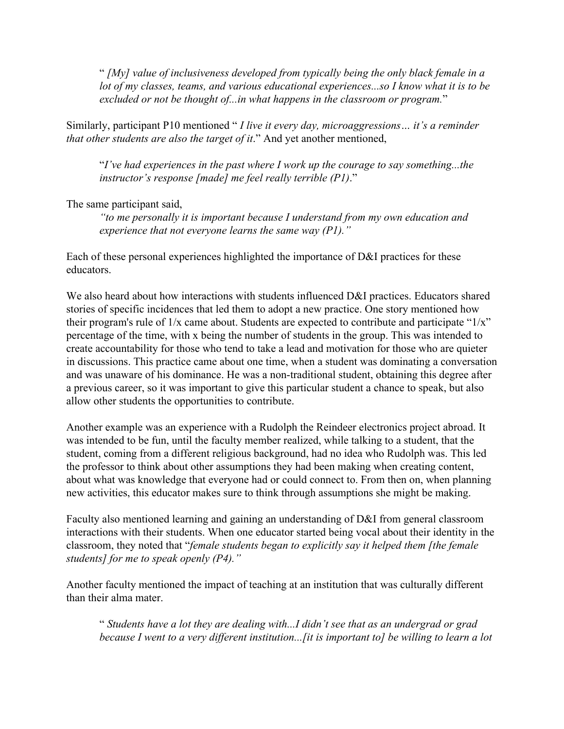" *[My] value of inclusiveness developed from typically being the only black female in a lot of my classes, teams, and various educational experiences...so I know what it is to be excluded or not be thought of...in what happens in the classroom or program.*"

Similarly, participant P10 mentioned " *I live it every day, microaggressions… it's a reminder that other students are also the target of it*." And yet another mentioned,

"*I've had experiences in the past where I work up the courage to say something...the instructor's response [made] me feel really terrible (P1)*."

The same participant said,

*"to me personally it is important because I understand from my own education and experience that not everyone learns the same way (P1)."*

Each of these personal experiences highlighted the importance of D&I practices for these educators.

We also heard about how interactions with students influenced D&I practices. Educators shared stories of specific incidences that led them to adopt a new practice. One story mentioned how their program's rule of  $1/x$  came about. Students are expected to contribute and participate " $1/x$ " percentage of the time, with x being the number of students in the group. This was intended to create accountability for those who tend to take a lead and motivation for those who are quieter in discussions. This practice came about one time, when a student was dominating a conversation and was unaware of his dominance. He was a non-traditional student, obtaining this degree after a previous career, so it was important to give this particular student a chance to speak, but also allow other students the opportunities to contribute.

Another example was an experience with a Rudolph the Reindeer electronics project abroad. It was intended to be fun, until the faculty member realized, while talking to a student, that the student, coming from a different religious background, had no idea who Rudolph was. This led the professor to think about other assumptions they had been making when creating content, about what was knowledge that everyone had or could connect to. From then on, when planning new activities, this educator makes sure to think through assumptions she might be making.

Faculty also mentioned learning and gaining an understanding of D&I from general classroom interactions with their students. When one educator started being vocal about their identity in the classroom, they noted that "*female students began to explicitly say it helped them [the female students] for me to speak openly (P4)."*

Another faculty mentioned the impact of teaching at an institution that was culturally different than their alma mater.

" *Students have a lot they are dealing with...I didn't see that as an undergrad or grad because I went to a very different institution...[it is important to] be willing to learn a lot*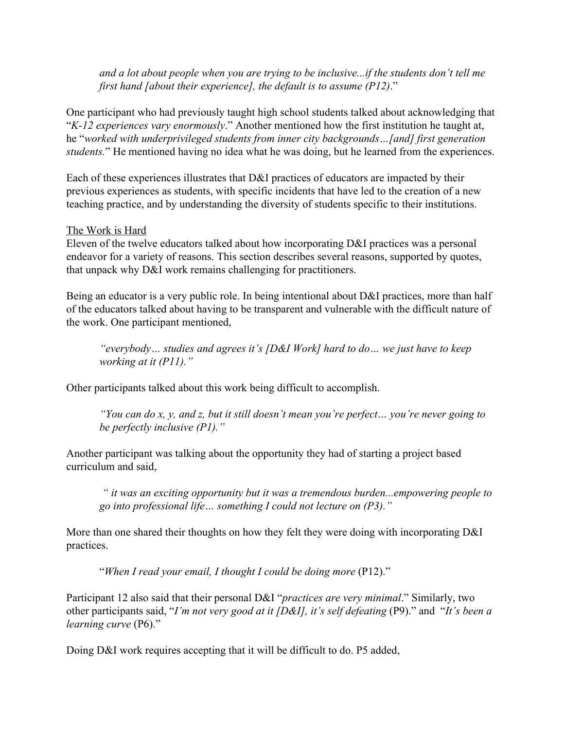*and a lot about people when you are trying to be inclusive...if the students don't tell me first hand [about their experience], the default is to assume (P12)*."

One participant who had previously taught high school students talked about acknowledging that "*K-12 experiences vary enormously*." Another mentioned how the first institution he taught at, he "*worked with underprivileged students from inner city backgrounds…[and] first generation students.*" He mentioned having no idea what he was doing, but he learned from the experiences.

Each of these experiences illustrates that D&I practices of educators are impacted by their previous experiences as students, with specific incidents that have led to the creation of a new teaching practice, and by understanding the diversity of students specific to their institutions.

## The Work is Hard

Eleven of the twelve educators talked about how incorporating D&I practices was a personal endeavor for a variety of reasons. This section describes several reasons, supported by quotes, that unpack why D&I work remains challenging for practitioners.

Being an educator is a very public role. In being intentional about D&I practices, more than half of the educators talked about having to be transparent and vulnerable with the difficult nature of the work. One participant mentioned,

*"everybody… studies and agrees it's [D&I Work] hard to do… we just have to keep working at it (P11)."*

Other participants talked about this work being difficult to accomplish.

*"You can do x, y, and z, but it still doesn't mean you're perfect… you're never going to be perfectly inclusive (P1)."*

Another participant was talking about the opportunity they had of starting a project based curriculum and said,

*" it was an exciting opportunity but it was a tremendous burden...empowering people to go into professional life… something I could not lecture on (P3)."*

More than one shared their thoughts on how they felt they were doing with incorporating D&I practices.

"*When I read your email, I thought I could be doing more* (P12)."

Participant 12 also said that their personal D&I "*practices are very minimal*." Similarly, two other participants said, "*I'm not very good at it [D&I], it's self defeating* (P9)." and "*It's been a learning curve* (P6)."

Doing D&I work requires accepting that it will be difficult to do. P5 added,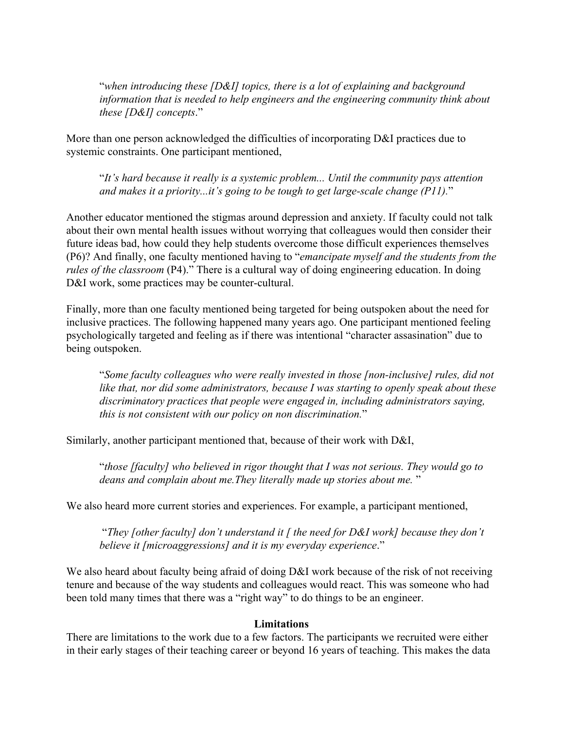"*when introducing these [D&I] topics, there is a lot of explaining and background information that is needed to help engineers and the engineering community think about these [D&I] concepts*."

More than one person acknowledged the difficulties of incorporating D&I practices due to systemic constraints. One participant mentioned,

"*It's hard because it really is a systemic problem... Until the community pays attention and makes it a priority...it's going to be tough to get large-scale change (P11).*"

Another educator mentioned the stigmas around depression and anxiety. If faculty could not talk about their own mental health issues without worrying that colleagues would then consider their future ideas bad, how could they help students overcome those difficult experiences themselves (P6)? And finally, one faculty mentioned having to "*emancipate myself and the students from the rules of the classroom* (P4)." There is a cultural way of doing engineering education. In doing D&I work, some practices may be counter-cultural.

Finally, more than one faculty mentioned being targeted for being outspoken about the need for inclusive practices. The following happened many years ago. One participant mentioned feeling psychologically targeted and feeling as if there was intentional "character assasination" due to being outspoken.

"*Some faculty colleagues who were really invested in those [non-inclusive] rules, did not like that, nor did some administrators, because I was starting to openly speak about these discriminatory practices that people were engaged in, including administrators saying, this is not consistent with our policy on non discrimination.*"

Similarly, another participant mentioned that, because of their work with D&I,

"*those [faculty] who believed in rigor thought that I was not serious. They would go to deans and complain about me.They literally made up stories about me.* "

We also heard more current stories and experiences. For example, a participant mentioned,

 "*They [other faculty] don't understand it [ the need for D&I work] because they don't believe it [microaggressions] and it is my everyday experience*."

We also heard about faculty being afraid of doing D&I work because of the risk of not receiving tenure and because of the way students and colleagues would react. This was someone who had been told many times that there was a "right way" to do things to be an engineer.

## **Limitations**

There are limitations to the work due to a few factors. The participants we recruited were either in their early stages of their teaching career or beyond 16 years of teaching. This makes the data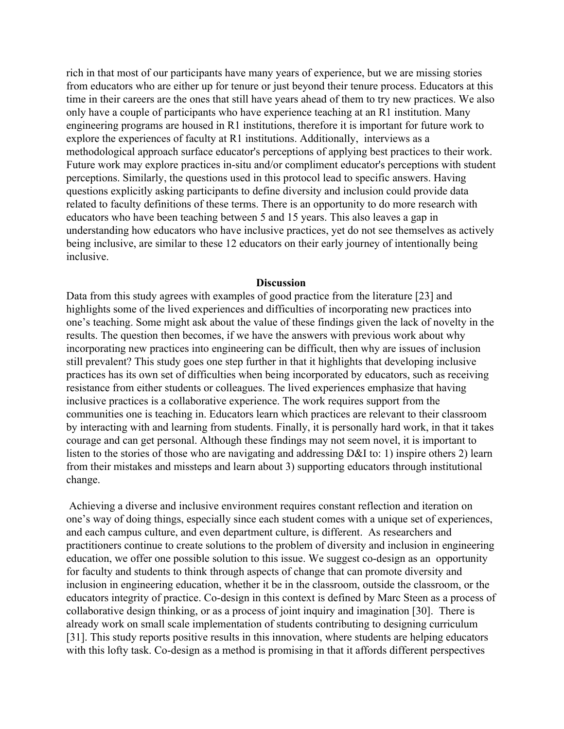rich in that most of our participants have many years of experience, but we are missing stories from educators who are either up for tenure or just beyond their tenure process. Educators at this time in their careers are the ones that still have years ahead of them to try new practices. We also only have a couple of participants who have experience teaching at an R1 institution. Many engineering programs are housed in R1 institutions, therefore it is important for future work to explore the experiences of faculty at R1 institutions. Additionally, interviews as a methodological approach surface educator's perceptions of applying best practices to their work. Future work may explore practices in-situ and/or compliment educator's perceptions with student perceptions. Similarly, the questions used in this protocol lead to specific answers. Having questions explicitly asking participants to define diversity and inclusion could provide data related to faculty definitions of these terms. There is an opportunity to do more research with educators who have been teaching between 5 and 15 years. This also leaves a gap in understanding how educators who have inclusive practices, yet do not see themselves as actively being inclusive, are similar to these 12 educators on their early journey of intentionally being inclusive.

#### **Discussion**

Data from this study agrees with examples of good practice from the literature [\[23\]](https://www.zotero.org/google-docs/?dgCh5X) and highlights some of the lived experiences and difficulties of incorporating new practices into one's teaching. Some might ask about the value of these findings given the lack of novelty in the results. The question then becomes, if we have the answers with previous work about why incorporating new practices into engineering can be difficult, then why are issues of inclusion still prevalent? This study goes one step further in that it highlights that developing inclusive practices has its own set of difficulties when being incorporated by educators, such as receiving resistance from either students or colleagues. The lived experiences emphasize that having inclusive practices is a collaborative experience. The work requires support from the communities one is teaching in. Educators learn which practices are relevant to their classroom by interacting with and learning from students. Finally, it is personally hard work, in that it takes courage and can get personal. Although these findings may not seem novel, it is important to listen to the stories of those who are navigating and addressing D&I to: 1) inspire others 2) learn from their mistakes and missteps and learn about 3) supporting educators through institutional change.

 Achieving a diverse and inclusive environment requires constant reflection and iteration on one's way of doing things, especially since each student comes with a unique set of experiences, and each campus culture, and even department culture, is different. As researchers and practitioners continue to create solutions to the problem of diversity and inclusion in engineering education, we offer one possible solution to this issue. We suggest co-design as an opportunity for faculty and students to think through aspects of change that can promote diversity and inclusion in engineering education, whether it be in the classroom, outside the classroom, or the educators integrity of practice. Co-design in this context is defined by Marc Steen as a process of collaborative design thinking, or as a process of joint inquiry and imagination [\[30\]](https://www.zotero.org/google-docs/?QgwyMV). There is already work on small scale implementation of students contributing to designing curriculum [\[31\].](https://www.zotero.org/google-docs/?vlLGIe) This study reports positive results in this innovation, where students are helping educators with this lofty task. Co-design as a method is promising in that it affords different perspectives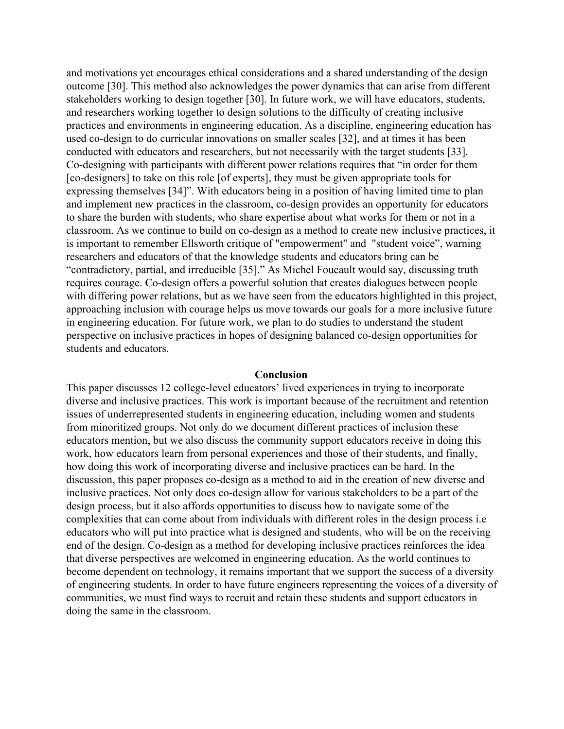and motivations yet encourages ethical considerations and a shared understanding of the design outcome [\[30\]](https://www.zotero.org/google-docs/?WoRBGN). This method also acknowledges the power dynamics that can arise from different stakeholders working to design together [\[30\].](https://www.zotero.org/google-docs/?36ckGW) In future work, we will have educators, students, and researchers working together to design solutions to the difficulty of creating inclusive practices and environments in engineering education. As a discipline, engineering education has used co-design to do curricular innovations on smaller scales [\[32\],](https://www.zotero.org/google-docs/?FXqZbN) and at times it has been conducted with educators and researchers, but not necessarily with the target students [\[33\].](https://www.zotero.org/google-docs/?MRz0ng) Co-designing with participants with different power relations requires that "in order for them [co-designers] to take on this role [of experts], they must be given appropriate tools for expressing themselves [\[34\]](https://www.zotero.org/google-docs/?GOOW8N)". With educators being in a position of having limited time to plan and implement new practices in the classroom, co-design provides an opportunity for educators to share the burden with students, who share expertise about what works for them or not in a classroom. As we continue to build on co-design as a method to create new inclusive practices, it is important to remember Ellsworth critique of "empowerment" and "student voice", warning researchers and educators of that the knowledge students and educators bring can be "contradictory, partial, and irreducible [\[35\]](https://www.zotero.org/google-docs/?ih8ZBR)." As Michel Foucault would say, discussing truth requires courage. Co-design offers a powerful solution that creates dialogues between people with differing power relations, but as we have seen from the educators highlighted in this project, approaching inclusion with courage helps us move towards our goals for a more inclusive future in engineering education. For future work, we plan to do studies to understand the student perspective on inclusive practices in hopes of designing balanced co-design opportunities for students and educators.

#### **Conclusion**

This paper discusses 12 college-level educators' lived experiences in trying to incorporate diverse and inclusive practices. This work is important because of the recruitment and retention issues of underrepresented students in engineering education, including women and students from minoritized groups. Not only do we document different practices of inclusion these educators mention, but we also discuss the community support educators receive in doing this work, how educators learn from personal experiences and those of their students, and finally, how doing this work of incorporating diverse and inclusive practices can be hard. In the discussion, this paper proposes co-design as a method to aid in the creation of new diverse and inclusive practices. Not only does co-design allow for various stakeholders to be a part of the design process, but it also affords opportunities to discuss how to navigate some of the complexities that can come about from individuals with different roles in the design process i.e educators who will put into practice what is designed and students, who will be on the receiving end of the design. Co-design as a method for developing inclusive practices reinforces the idea that diverse perspectives are welcomed in engineering education. As the world continues to become dependent on technology, it remains important that we support the success of a diversity of engineering students. In order to have future engineers representing the voices of a diversity of communities, we must find ways to recruit and retain these students and support educators in doing the same in the classroom.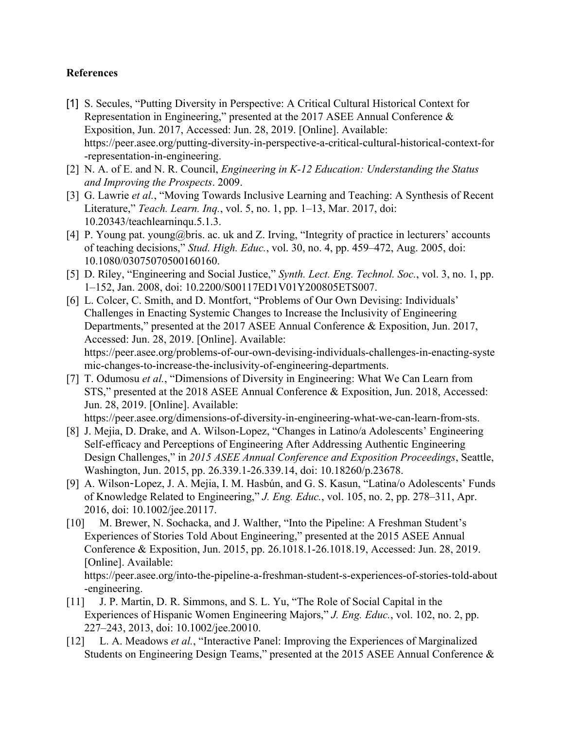## **References**

- [\[1\]](https://www.zotero.org/google-docs/?EToQgm) [S. Secules, "Putting Diversity in Perspective: A Critical Cultural Historical Context for](https://www.zotero.org/google-docs/?EToQgm) [Representation in Engineering," presented at the 2017 ASEE Annual Conference &](https://www.zotero.org/google-docs/?EToQgm) [Exposition, Jun. 2017, Accessed: Jun. 28, 2019. \[Online\]. Available:](https://www.zotero.org/google-docs/?EToQgm) [https://peer.asee.org/putting-diversity-in-perspective-a-critical-cultural-historical-context-for](https://www.zotero.org/google-docs/?EToQgm) [-representation-in-engineering.](https://www.zotero.org/google-docs/?EToQgm)
- [\[2\]](https://www.zotero.org/google-docs/?EToQgm) [N. A. of E. and N. R. Council,](https://www.zotero.org/google-docs/?EToQgm) *[Engineering in K-12 Education: Understanding the Status](https://www.zotero.org/google-docs/?EToQgm) [and Improving the Prospects](https://www.zotero.org/google-docs/?EToQgm)*[. 2009.](https://www.zotero.org/google-docs/?EToQgm)
- [\[3\]](https://www.zotero.org/google-docs/?EToQgm) [G. Lawrie](https://www.zotero.org/google-docs/?EToQgm) *[et al.](https://www.zotero.org/google-docs/?EToQgm)*[, "Moving Towards Inclusive Learning and Teaching: A Synthesis of Recent](https://www.zotero.org/google-docs/?EToQgm) [Literature,"](https://www.zotero.org/google-docs/?EToQgm) *[Teach. Learn. Inq.](https://www.zotero.org/google-docs/?EToQgm)*[, vol. 5, no. 1, pp. 1–13, Mar. 2017, doi:](https://www.zotero.org/google-docs/?EToQgm) [10.20343/teachlearninqu.5.1.3.](https://www.zotero.org/google-docs/?EToQgm)
- [\[4\]](https://www.zotero.org/google-docs/?EToQgm) [P. Young pat. young@bris. ac. uk and Z. Irving, "Integrity of practice in lecturers' accounts](https://www.zotero.org/google-docs/?EToQgm) [of teaching decisions,"](https://www.zotero.org/google-docs/?EToQgm) *[Stud. High. Educ.](https://www.zotero.org/google-docs/?EToQgm)*[, vol. 30, no. 4, pp. 459–472, Aug. 2005, doi:](https://www.zotero.org/google-docs/?EToQgm) [10.1080/03075070500160160.](https://www.zotero.org/google-docs/?EToQgm)
- [\[5\]](https://www.zotero.org/google-docs/?EToQgm) [D. Riley, "Engineering and Social Justice,"](https://www.zotero.org/google-docs/?EToQgm) *[Synth. Lect. Eng. Technol. Soc.](https://www.zotero.org/google-docs/?EToQgm)*[, vol. 3, no. 1, pp.](https://www.zotero.org/google-docs/?EToQgm) [1–152, Jan. 2008, doi: 10.2200/S00117ED1V01Y200805ETS007.](https://www.zotero.org/google-docs/?EToQgm)
- [\[6\]](https://www.zotero.org/google-docs/?EToQgm) L. Colcer, C. Smith, and D. Montfort, "Problems of Our Own Devising: Individuals" [Challenges in Enacting Systemic Changes to Increase the Inclusivity of Engineering](https://www.zotero.org/google-docs/?EToQgm) [Departments," presented at the 2017 ASEE Annual Conference & Exposition, Jun. 2017,](https://www.zotero.org/google-docs/?EToQgm) [Accessed: Jun. 28, 2019. \[Online\]. Available:](https://www.zotero.org/google-docs/?EToQgm) [https://peer.asee.org/problems-of-our-own-devising-individuals-challenges-in-enacting-syste](https://www.zotero.org/google-docs/?EToQgm) [mic-changes-to-increase-the-inclusivity-of-engineering-departments.](https://www.zotero.org/google-docs/?EToQgm)
- [\[7\]](https://www.zotero.org/google-docs/?EToQgm) [T. Odumosu](https://www.zotero.org/google-docs/?EToQgm) *[et al.](https://www.zotero.org/google-docs/?EToQgm)*[, "Dimensions of Diversity in Engineering: What We Can Learn from](https://www.zotero.org/google-docs/?EToQgm) [STS," presented at the 2018 ASEE Annual Conference & Exposition, Jun. 2018, Accessed:](https://www.zotero.org/google-docs/?EToQgm) [Jun. 28, 2019. \[Online\]. Available:](https://www.zotero.org/google-docs/?EToQgm)

[https://peer.asee.org/dimensions-of-diversity-in-engineering-what-we-can-learn-from-sts.](https://www.zotero.org/google-docs/?EToQgm)

- [\[8\]](https://www.zotero.org/google-docs/?EToQgm) [J. Mejia, D. Drake, and A. Wilson-Lopez, "Changes in Latino/a Adolescents' Engineering](https://www.zotero.org/google-docs/?EToQgm) [Self-efficacy and Perceptions of Engineering After Addressing Authentic Engineering](https://www.zotero.org/google-docs/?EToQgm) [Design Challenges," in](https://www.zotero.org/google-docs/?EToQgm) *[2015 ASEE Annual Conference and Exposition Proceedings](https://www.zotero.org/google-docs/?EToQgm)*[, Seattle,](https://www.zotero.org/google-docs/?EToQgm) [Washington, Jun. 2015, pp. 26.339.1-26.339.14, doi: 10.18260/p.23678.](https://www.zotero.org/google-docs/?EToQgm)
- [\[9\]](https://www.zotero.org/google-docs/?EToQgm) A. Wilson-[Lopez, J. A. Mejia, I. M. Hasbún, and G. S. Kasun, "Latina/o Adolescents' Funds](https://www.zotero.org/google-docs/?EToQgm) [of Knowledge Related to Engineering,"](https://www.zotero.org/google-docs/?EToQgm) *[J. Eng. Educ.](https://www.zotero.org/google-docs/?EToQgm)*[, vol. 105, no. 2, pp. 278–311, Apr.](https://www.zotero.org/google-docs/?EToQgm) [2016, doi: 10.1002/jee.20117.](https://www.zotero.org/google-docs/?EToQgm)
- [\[10\]](https://www.zotero.org/google-docs/?EToQgm) [M. Brewer, N. Sochacka, and J. Walther, "Into the Pipeline: A Freshman Student's](https://www.zotero.org/google-docs/?EToQgm) [Experiences of Stories Told About Engineering," presented at the 2015 ASEE Annual](https://www.zotero.org/google-docs/?EToQgm) [Conference & Exposition, Jun. 2015, pp. 26.1018.1-26.1018.19, Accessed: Jun. 28, 2019.](https://www.zotero.org/google-docs/?EToQgm) [\[Online\]. Available:](https://www.zotero.org/google-docs/?EToQgm)

[https://peer.asee.org/into-the-pipeline-a-freshman-student-s-experiences-of-stories-told-about](https://www.zotero.org/google-docs/?EToQgm) [-engineering.](https://www.zotero.org/google-docs/?EToQgm)

- [\[11\]](https://www.zotero.org/google-docs/?EToQgm) [J. P. Martin, D. R. Simmons, and S. L. Yu, "The Role of Social Capital in the](https://www.zotero.org/google-docs/?EToQgm) [Experiences of Hispanic Women Engineering Majors,"](https://www.zotero.org/google-docs/?EToQgm) *[J. Eng. Educ.](https://www.zotero.org/google-docs/?EToQgm)*[, vol. 102, no. 2, pp.](https://www.zotero.org/google-docs/?EToQgm) [227–243, 2013, doi: 10.1002/jee.20010.](https://www.zotero.org/google-docs/?EToQgm)
- [\[12\]](https://www.zotero.org/google-docs/?EToQgm) [L. A. Meadows](https://www.zotero.org/google-docs/?EToQgm) *[et al.](https://www.zotero.org/google-docs/?EToQgm)*[, "Interactive Panel: Improving the Experiences of Marginalized](https://www.zotero.org/google-docs/?EToQgm) [Students on Engineering Design Teams," presented at the 2015 ASEE Annual Conference &](https://www.zotero.org/google-docs/?EToQgm)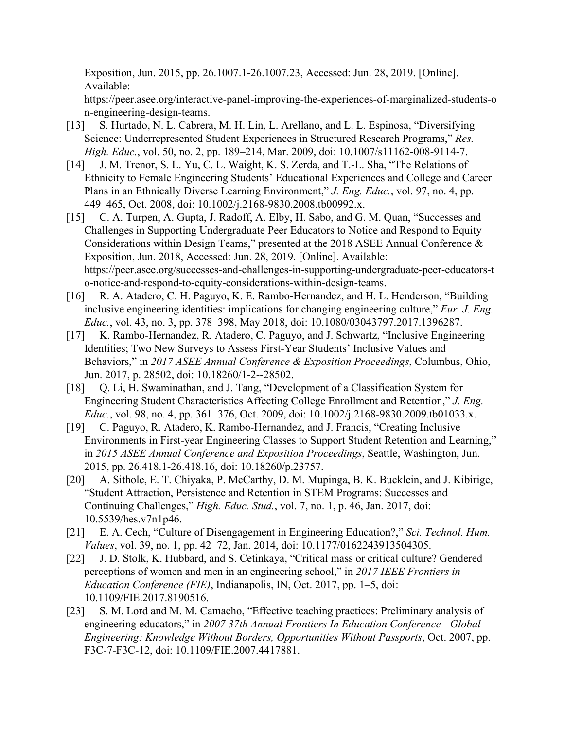[Exposition, Jun. 2015, pp. 26.1007.1-26.1007.23, Accessed: Jun. 28, 2019. \[Online\].](https://www.zotero.org/google-docs/?EToQgm) [Available:](https://www.zotero.org/google-docs/?EToQgm)

[https://peer.asee.org/interactive-panel-improving-the-experiences-of-marginalized-students-o](https://www.zotero.org/google-docs/?EToQgm) [n-engineering-design-teams.](https://www.zotero.org/google-docs/?EToQgm)

- [\[13\]](https://www.zotero.org/google-docs/?EToQgm) [S. Hurtado, N. L. Cabrera, M. H. Lin, L. Arellano, and L. L. Espinosa, "Diversifying](https://www.zotero.org/google-docs/?EToQgm) [Science: Underrepresented Student Experiences in Structured Research Programs,"](https://www.zotero.org/google-docs/?EToQgm) *[Res.](https://www.zotero.org/google-docs/?EToQgm) [High. Educ.](https://www.zotero.org/google-docs/?EToQgm)*[, vol. 50, no. 2, pp. 189–214, Mar. 2009, doi: 10.1007/s11162-008-9114-7.](https://www.zotero.org/google-docs/?EToQgm)
- [\[14\]](https://www.zotero.org/google-docs/?EToQgm) [J. M. Trenor, S. L. Yu, C. L. Waight, K. S. Zerda, and T.-L. Sha, "The Relations of](https://www.zotero.org/google-docs/?EToQgm) [Ethnicity to Female Engineering Students' Educational Experiences and College and Career](https://www.zotero.org/google-docs/?EToQgm) [Plans in an Ethnically Diverse Learning Environment,"](https://www.zotero.org/google-docs/?EToQgm) *[J. Eng. Educ.](https://www.zotero.org/google-docs/?EToQgm)*[, vol. 97, no. 4, pp.](https://www.zotero.org/google-docs/?EToQgm) [449–465, Oct. 2008, doi: 10.1002/j.2168-9830.2008.tb00992.x.](https://www.zotero.org/google-docs/?EToQgm)
- [\[15\]](https://www.zotero.org/google-docs/?EToQgm) [C. A. Turpen, A. Gupta, J. Radoff, A. Elby, H. Sabo, and G. M. Quan, "Successes and](https://www.zotero.org/google-docs/?EToQgm) [Challenges in Supporting Undergraduate Peer Educators to Notice and Respond to Equity](https://www.zotero.org/google-docs/?EToQgm) [Considerations within Design Teams," presented at the 2018 ASEE Annual Conference &](https://www.zotero.org/google-docs/?EToQgm) [Exposition, Jun. 2018, Accessed: Jun. 28, 2019. \[Online\]. Available:](https://www.zotero.org/google-docs/?EToQgm) [https://peer.asee.org/successes-and-challenges-in-supporting-undergraduate-peer-educators-t](https://www.zotero.org/google-docs/?EToQgm) [o-notice-and-respond-to-equity-considerations-within-design-teams.](https://www.zotero.org/google-docs/?EToQgm)
- [\[16\]](https://www.zotero.org/google-docs/?EToQgm) [R. A. Atadero, C. H. Paguyo, K. E. Rambo-Hernandez, and H. L. Henderson, "Building](https://www.zotero.org/google-docs/?EToQgm) [inclusive engineering identities: implications for changing engineering culture,"](https://www.zotero.org/google-docs/?EToQgm) *[Eur. J. Eng.](https://www.zotero.org/google-docs/?EToQgm) [Educ.](https://www.zotero.org/google-docs/?EToQgm)*[, vol. 43, no. 3, pp. 378–398, May 2018, doi: 10.1080/03043797.2017.1396287.](https://www.zotero.org/google-docs/?EToQgm)
- [\[17\]](https://www.zotero.org/google-docs/?EToQgm) [K. Rambo-Hernandez, R. Atadero, C. Paguyo, and J. Schwartz, "Inclusive Engineering](https://www.zotero.org/google-docs/?EToQgm) [Identities; Two New Surveys to Assess First-Year Students' Inclusive Values and](https://www.zotero.org/google-docs/?EToQgm) [Behaviors," in](https://www.zotero.org/google-docs/?EToQgm) *[2017 ASEE Annual Conference & Exposition Proceedings](https://www.zotero.org/google-docs/?EToQgm)*[, Columbus, Ohio,](https://www.zotero.org/google-docs/?EToQgm) [Jun. 2017, p. 28502, doi: 10.18260/1-2--28502.](https://www.zotero.org/google-docs/?EToQgm)
- [\[18\]](https://www.zotero.org/google-docs/?EToQgm) [Q. Li, H. Swaminathan, and J. Tang, "Development of a Classification System for](https://www.zotero.org/google-docs/?EToQgm) [Engineering Student Characteristics Affecting College Enrollment and Retention,"](https://www.zotero.org/google-docs/?EToQgm) *[J. Eng.](https://www.zotero.org/google-docs/?EToQgm) [Educ.](https://www.zotero.org/google-docs/?EToQgm)*[, vol. 98, no. 4, pp. 361–376, Oct. 2009, doi: 10.1002/j.2168-9830.2009.tb01033.x.](https://www.zotero.org/google-docs/?EToQgm)
- [\[19\]](https://www.zotero.org/google-docs/?EToQgm) [C. Paguyo, R. Atadero, K. Rambo-Hernandez, and J. Francis, "Creating Inclusive](https://www.zotero.org/google-docs/?EToQgm) [Environments in First-year Engineering Classes to Support Student Retention and Learning,"](https://www.zotero.org/google-docs/?EToQgm) [in](https://www.zotero.org/google-docs/?EToQgm) *[2015 ASEE Annual Conference and Exposition Proceedings](https://www.zotero.org/google-docs/?EToQgm)*[, Seattle, Washington, Jun.](https://www.zotero.org/google-docs/?EToQgm) [2015, pp. 26.418.1-26.418.16, doi: 10.18260/p.23757.](https://www.zotero.org/google-docs/?EToQgm)
- [\[20\]](https://www.zotero.org/google-docs/?EToQgm) [A. Sithole, E. T. Chiyaka, P. McCarthy, D. M. Mupinga, B. K. Bucklein, and J. Kibirige,](https://www.zotero.org/google-docs/?EToQgm) ["Student Attraction, Persistence and Retention in STEM Programs: Successes and](https://www.zotero.org/google-docs/?EToQgm) [Continuing Challenges,"](https://www.zotero.org/google-docs/?EToQgm) *[High. Educ. Stud.](https://www.zotero.org/google-docs/?EToQgm)*[, vol. 7, no. 1, p. 46, Jan. 2017, doi:](https://www.zotero.org/google-docs/?EToQgm) [10.5539/hes.v7n1p46.](https://www.zotero.org/google-docs/?EToQgm)
- [\[21\]](https://www.zotero.org/google-docs/?EToQgm) [E. A. Cech, "Culture of Disengagement in Engineering Education?,"](https://www.zotero.org/google-docs/?EToQgm) *[Sci. Technol. Hum.](https://www.zotero.org/google-docs/?EToQgm) [Values](https://www.zotero.org/google-docs/?EToQgm)*[, vol. 39, no. 1, pp. 42–72, Jan. 2014, doi: 10.1177/0162243913504305.](https://www.zotero.org/google-docs/?EToQgm)
- [\[22\]](https://www.zotero.org/google-docs/?EToQgm) [J. D. Stolk, K. Hubbard, and S. Cetinkaya, "Critical mass or critical culture? Gendered](https://www.zotero.org/google-docs/?EToQgm) [perceptions of women and men in an engineering school," in](https://www.zotero.org/google-docs/?EToQgm) *[2017 IEEE Frontiers in](https://www.zotero.org/google-docs/?EToQgm) [Education Conference \(FIE\)](https://www.zotero.org/google-docs/?EToQgm)*[, Indianapolis, IN, Oct. 2017, pp. 1–5, doi:](https://www.zotero.org/google-docs/?EToQgm) [10.1109/FIE.2017.8190516.](https://www.zotero.org/google-docs/?EToQgm)
- [\[23\]](https://www.zotero.org/google-docs/?EToQgm) [S. M. Lord and M. M. Camacho, "Effective teaching practices: Preliminary analysis of](https://www.zotero.org/google-docs/?EToQgm) [engineering educators," in](https://www.zotero.org/google-docs/?EToQgm) *[2007 37th Annual Frontiers In Education Conference - Global](https://www.zotero.org/google-docs/?EToQgm) [Engineering: Knowledge Without Borders, Opportunities Without Passports](https://www.zotero.org/google-docs/?EToQgm)*[, Oct. 2007, pp.](https://www.zotero.org/google-docs/?EToQgm) [F3C-7-F3C-12, doi: 10.1109/FIE.2007.4417881.](https://www.zotero.org/google-docs/?EToQgm)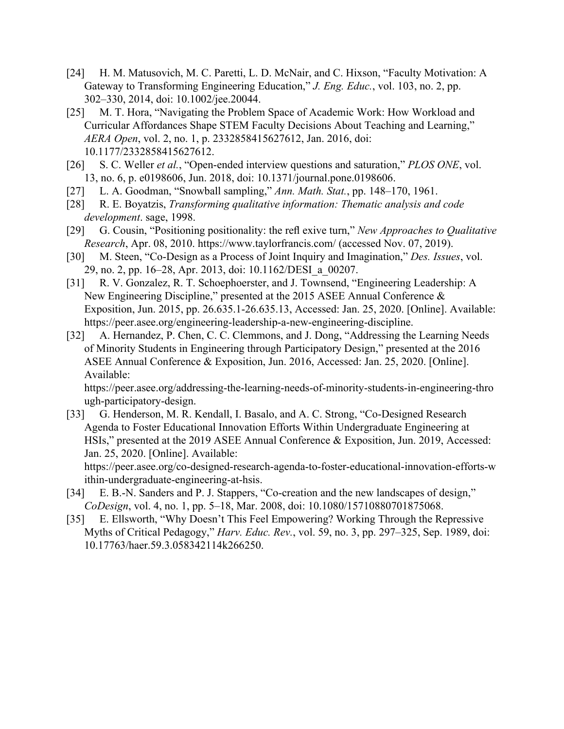- [\[24\]](https://www.zotero.org/google-docs/?EToQgm) [H. M. Matusovich, M. C. Paretti, L. D. McNair, and C. Hixson, "Faculty Motivation: A](https://www.zotero.org/google-docs/?EToQgm) [Gateway to Transforming Engineering Education,"](https://www.zotero.org/google-docs/?EToQgm) *[J. Eng. Educ.](https://www.zotero.org/google-docs/?EToQgm)*[, vol. 103, no. 2, pp.](https://www.zotero.org/google-docs/?EToQgm) [302–330, 2014, doi: 10.1002/jee.20044.](https://www.zotero.org/google-docs/?EToQgm)
- [\[25\]](https://www.zotero.org/google-docs/?EToQgm) [M. T. Hora, "Navigating the Problem Space of Academic Work: How Workload and](https://www.zotero.org/google-docs/?EToQgm) [Curricular Affordances Shape STEM Faculty Decisions About Teaching and Learning,"](https://www.zotero.org/google-docs/?EToQgm) *[AERA Open](https://www.zotero.org/google-docs/?EToQgm)*[, vol. 2, no. 1, p. 2332858415627612, Jan. 2016, doi:](https://www.zotero.org/google-docs/?EToQgm) [10.1177/2332858415627612.](https://www.zotero.org/google-docs/?EToQgm)
- [\[26\]](https://www.zotero.org/google-docs/?EToQgm) [S. C. Weller](https://www.zotero.org/google-docs/?EToQgm) *[et al.](https://www.zotero.org/google-docs/?EToQgm)*[, "Open-ended interview questions and saturation,"](https://www.zotero.org/google-docs/?EToQgm) *[PLOS ONE](https://www.zotero.org/google-docs/?EToQgm)*[, vol.](https://www.zotero.org/google-docs/?EToQgm) [13, no. 6, p. e0198606, Jun. 2018, doi: 10.1371/journal.pone.0198606.](https://www.zotero.org/google-docs/?EToQgm)
- [\[27\]](https://www.zotero.org/google-docs/?EToQgm) [L. A. Goodman, "Snowball sampling,"](https://www.zotero.org/google-docs/?EToQgm) *[Ann. Math. Stat.](https://www.zotero.org/google-docs/?EToQgm)*[, pp. 148–170, 1961.](https://www.zotero.org/google-docs/?EToQgm)
- [\[28\]](https://www.zotero.org/google-docs/?EToQgm) [R. E. Boyatzis,](https://www.zotero.org/google-docs/?EToQgm) *[Transforming qualitative information: Thematic analysis and code](https://www.zotero.org/google-docs/?EToQgm) [development](https://www.zotero.org/google-docs/?EToQgm)*[. sage, 1998.](https://www.zotero.org/google-docs/?EToQgm)
- [\[29\]](https://www.zotero.org/google-docs/?EToQgm) G. Cousin, "Positioning positionality: the refl exive turn," *[New Approaches to Qualitative](https://www.zotero.org/google-docs/?EToQgm) [Research](https://www.zotero.org/google-docs/?EToQgm)*[, Apr. 08, 2010. https://www.taylorfrancis.com/ \(accessed Nov. 07, 2019\).](https://www.zotero.org/google-docs/?EToQgm)
- [\[30\]](https://www.zotero.org/google-docs/?EToQgm) [M. Steen, "Co-Design as a Process of Joint Inquiry and Imagination,"](https://www.zotero.org/google-docs/?EToQgm) *[Des. Issues](https://www.zotero.org/google-docs/?EToQgm)*[, vol.](https://www.zotero.org/google-docs/?EToQgm) [29, no. 2, pp. 16–28, Apr. 2013, doi: 10.1162/DESI\\_a\\_00207.](https://www.zotero.org/google-docs/?EToQgm)
- [\[31\]](https://www.zotero.org/google-docs/?EToQgm) [R. V. Gonzalez, R. T. Schoephoerster, and J. Townsend, "Engineering Leadership: A](https://www.zotero.org/google-docs/?EToQgm) [New Engineering Discipline," presented at the 2015 ASEE Annual Conference &](https://www.zotero.org/google-docs/?EToQgm) [Exposition, Jun. 2015, pp. 26.635.1-26.635.13, Accessed: Jan. 25, 2020. \[Online\]. Available:](https://www.zotero.org/google-docs/?EToQgm) [https://peer.asee.org/engineering-leadership-a-new-engineering-discipline.](https://www.zotero.org/google-docs/?EToQgm)
- [\[32\]](https://www.zotero.org/google-docs/?EToQgm) [A. Hernandez, P. Chen, C. C. Clemmons, and J. Dong, "Addressing the Learning Needs](https://www.zotero.org/google-docs/?EToQgm)" [of Minority Students in Engineering through Participatory Design," presented at the 2016](https://www.zotero.org/google-docs/?EToQgm) [ASEE Annual Conference & Exposition, Jun. 2016, Accessed: Jan. 25, 2020. \[Online\].](https://www.zotero.org/google-docs/?EToQgm) [Available:](https://www.zotero.org/google-docs/?EToQgm)

[https://peer.asee.org/addressing-the-learning-needs-of-minority-students-in-engineering-thro](https://www.zotero.org/google-docs/?EToQgm) [ugh-participatory-design.](https://www.zotero.org/google-docs/?EToQgm)

[\[33\]](https://www.zotero.org/google-docs/?EToQgm) [G. Henderson, M. R. Kendall, I. Basalo, and A. C. Strong, "Co-Designed Research](https://www.zotero.org/google-docs/?EToQgm)" [Agenda to Foster Educational Innovation Efforts Within Undergraduate Engineering at](https://www.zotero.org/google-docs/?EToQgm) [HSIs," presented at the 2019 ASEE Annual Conference & Exposition, Jun. 2019, Accessed:](https://www.zotero.org/google-docs/?EToQgm) [Jan. 25, 2020. \[Online\]. Available:](https://www.zotero.org/google-docs/?EToQgm) [https://peer.asee.org/co-designed-research-agenda-to-foster-educational-innovation-efforts-w](https://www.zotero.org/google-docs/?EToQgm)

[ithin-undergraduate-engineering-at-hsis.](https://www.zotero.org/google-docs/?EToQgm)

- [\[34\]](https://www.zotero.org/google-docs/?EToQgm) [E. B.-N. Sanders and P. J. Stappers, "Co-creation and the new landscapes of design,"](https://www.zotero.org/google-docs/?EToQgm) *[CoDesign](https://www.zotero.org/google-docs/?EToQgm)*[, vol. 4, no. 1, pp. 5–18, Mar. 2008, doi: 10.1080/15710880701875068.](https://www.zotero.org/google-docs/?EToQgm)
- [\[35\]](https://www.zotero.org/google-docs/?EToQgm) [E. Ellsworth, "Why Doesn't This Feel Empowering? Working Through the Repressive](https://www.zotero.org/google-docs/?EToQgm) [Myths of Critical Pedagogy,"](https://www.zotero.org/google-docs/?EToQgm) *[Harv. Educ. Rev.](https://www.zotero.org/google-docs/?EToQgm)*[, vol. 59, no. 3, pp. 297–325, Sep. 1989, doi:](https://www.zotero.org/google-docs/?EToQgm) [10.17763/haer.59.3.058342114k266250.](https://www.zotero.org/google-docs/?EToQgm)